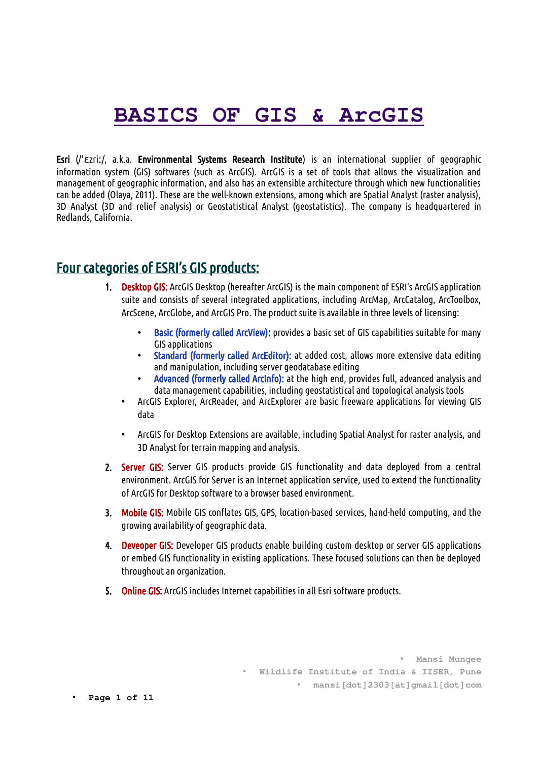# **BASICS OF GIS & ArcGIS**

Esri (/ˈɛzriː/, a.k.a. Environmental Systems Research Institute) is an international supplier of geographic information system (GIS) softwares (such as ArcGIS). ArcGIS is a set of tools that allows the visualization and management of geographic information, and also has an extensible architecture through which new functionalities can be added (Olaya, 2011). These are the well-known extensions, among which are Spatial Analyst (raster analysis), 3D Analyst (3D and relief analysis) or Geostatistical Analyst (geostatistics). The company is headquartered in Redlands, California.

#### Four categories of ESRI's GIS products:

- 1. Desktop GIS: ArcGIS Desktop (hereafter ArcGIS) is the main component of ESRI's ArcGIS application suite and consists of several integrated applications, including ArcMap, ArcCatalog, ArcToolbox, ArcScene, ArcGlobe, and ArcGIS Pro. The product suite is available in three levels of licensing:
	- Basic (formerly called ArcView): provides a basic set of GIS capabilities suitable for many GIS applications
	- Standard (formerly called ArcEditor): at added cost, allows more extensive data editing and manipulation, including server geodatabase editing
	- Advanced (formerly called ArcInfo): at the high end, provides full, advanced analysis and data management capabilities, including geostatistical and topological analysis tools
	- ArcGIS Explorer, ArcReader, and ArcExplorer are basic freeware applications for viewing GIS data
	- ArcGIS for Desktop Extensions are available, including Spatial Analyst for raster analysis, and 3D Analyst for terrain mapping and analysis.
- 2. Server GIS: Server GIS products provide GIS functionality and data deployed from a central environment. ArcGIS for Server is an Internet application service, used to extend the functionality of ArcGIS for Desktop software to a browser based environment.
- 3. Mobile GIS: Mobile GIS conflates GIS, GPS, location-based services, hand-held computing, and the growing availability of geographic data.
- 4. Deveoper GIS: Developer GIS products enable building custom desktop or server GIS applications or embed GIS functionality in existing applications. These focused solutions can then be deployed throughout an organization.
- 5. Online GIS: ArcGIS includes Internet capabilities in all Esri software products.

• **Mansi Mungee** • **Wildlife Institute of India & IISER, Pune** • **mansi[dot]2303[at]gmail[dot]com**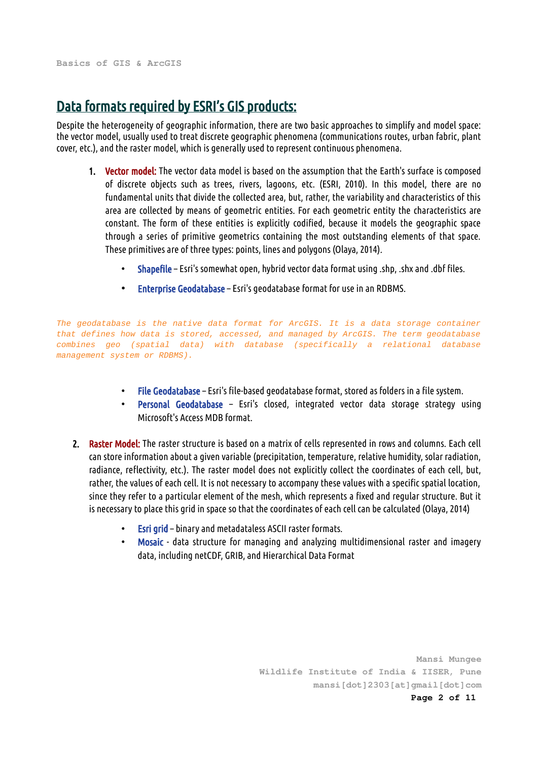# Data formats required by ESRI's GIS products:

Despite the heterogeneity of geographic information, there are two basic approaches to simplify and model space: the vector model, usually used to treat discrete geographic phenomena (communications routes, urban fabric, plant cover, etc.), and the raster model, which is generally used to represent continuous phenomena.

- 1. Vector model: The vector data model is based on the assumption that the Earth's surface is composed of discrete objects such as trees, rivers, lagoons, etc. (ESRI, 2010). In this model, there are no fundamental units that divide the collected area, but, rather, the variability and characteristics of this area are collected by means of geometric entities. For each geometric entity the characteristics are constant. The form of these entities is explicitly codified, because it models the geographic space through a series of primitive geometrics containing the most outstanding elements of that space. These primitives are of three types: points, lines and polygons (Olaya, 2014).
	- Shapefile Esri's somewhat open, hybrid vector data format using .shp, .shx and .dbf files.
	- Enterprise Geodatabase Esri's geodatabase format for use in an RDBMS.

*The geodatabase is the native data format for ArcGIS. It is a data storage container that defines how data is stored, accessed, and managed by ArcGIS. The term geodatabase combines geo (spatial data) with database (specifically a relational database management system or RDBMS).*

- File Geodatabase Esri's file-based geodatabase format, stored as folders in a file system.
- Personal Geodatabase Esri's closed, integrated vector data storage strategy using Microsoft's Access MDB format.
- 2. Raster Model: The raster structure is based on a matrix of cells represented in rows and columns. Each cell can store information about a given variable (precipitation, temperature, relative humidity, solar radiation, radiance, reflectivity, etc.). The raster model does not explicitly collect the coordinates of each cell, but, rather, the values of each cell. It is not necessary to accompany these values with a specific spatial location, since they refer to a particular element of the mesh, which represents a fixed and regular structure. But it is necessary to place this grid in space so that the coordinates of each cell can be calculated (Olaya, 2014)
	- Esri grid binary and metadataless ASCII raster formats.
	- Mosaic data structure for managing and analyzing multidimensional raster and imagery data, including netCDF, GRIB, and Hierarchical Data Format

**Mansi Mungee Wildlife Institute of India & IISER, Pune mansi[dot]2303[at]gmail[dot]com Page 2 of 11**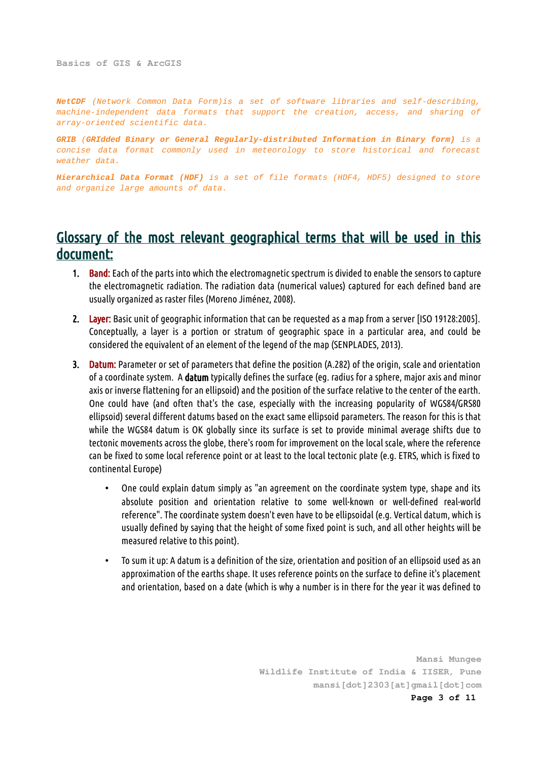**Basics of GIS & ArcGIS**

*NetCDF (Network Common Data Form)is a set of software libraries and self-describing, machine-independent data formats that support the creation, access, and sharing of array-oriented scientific data.*

*GRIB (GRIdded Binary or General Regularly-distributed Information in Binary form) is a concise data format commonly used in meteorology to store historical and forecast weather data.*

*Hierarchical Data Format (HDF) is a set of file formats (HDF4, HDF5) designed to store and organize large amounts of data.* 

### Glossary of the most relevant geographical terms that will be used in this document:

- 1. Band: Each of the parts into which the electromagnetic spectrum is divided to enable the sensors to capture the electromagnetic radiation. The radiation data (numerical values) captured for each defined band are usually organized as raster files (Moreno Jiménez, 2008).
- 2. Layer: Basic unit of geographic information that can be requested as a map from a server [ISO 19128:2005]. Conceptually, a layer is a portion or stratum of geographic space in a particular area, and could be considered the equivalent of an element of the legend of the map (SENPLADES, 2013).
- 3. Datum: Parameter or set of parameters that define the position (A.282) of the origin, scale and orientation of a coordinate system. A datum typically defines the surface (eg. radius for a sphere, major axis and minor axis or inverse flattening for an ellipsoid) and the position of the surface relative to the center of the earth. One could have (and often that's the case, especially with the increasing popularity of WGS84/GRS80 ellipsoid) several different datums based on the exact same ellipsoid parameters. The reason for this is that while the WGS84 datum is OK globally since its surface is set to provide minimal average shifts due to tectonic movements across the globe, there's room for improvement on the local scale, where the reference can be fixed to some local reference point or at least to the local tectonic plate (e.g. ETRS, which is fixed to continental Europe)
	- One could explain datum simply as "an agreement on the coordinate system type, shape and its absolute position and orientation relative to some well-known or well-defined real-world reference". The coordinate system doesn't even have to be ellipsoidal (e.g. Vertical datum, which is usually defined by saying that the height of some fixed point is such, and all other heights will be measured relative to this point).
	- To sum it up: A datum is a definition of the size, orientation and position of an ellipsoid used as an approximation of the earths shape. It uses reference points on the surface to define it's placement and orientation, based on a date (which is why a number is in there for the year it was defined to

**Mansi Mungee Wildlife Institute of India & IISER, Pune mansi[dot]2303[at]gmail[dot]com Page 3 of 11**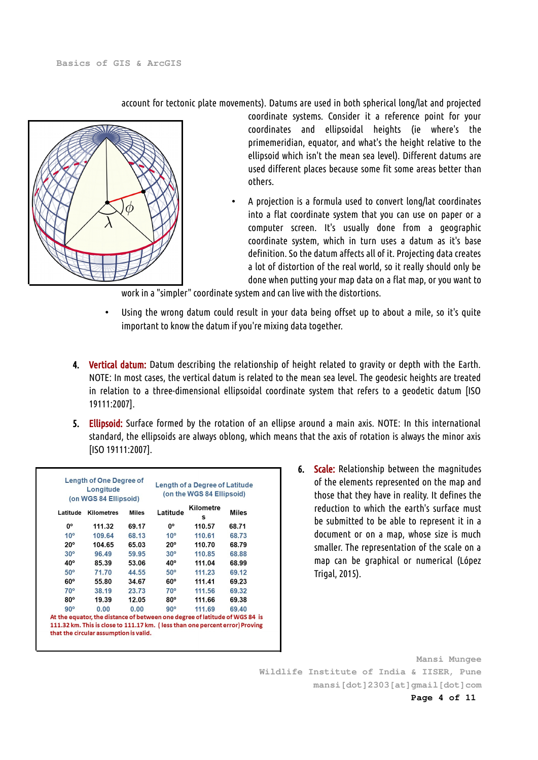account for tectonic plate movements). Datums are used in both spherical long/lat and projected



- coordinate systems. Consider it a reference point for your coordinates and ellipsoidal heights (ie where's the primemeridian, equator, and what's the height relative to the ellipsoid which isn't the mean sea level). Different datums are used different places because some fit some areas better than others.
- A projection is a formula used to convert long/lat coordinates into a flat coordinate system that you can use on paper or a computer screen. It's usually done from a geographic coordinate system, which in turn uses a datum as it's base definition. So the datum affects all of it. Projecting data creates a lot of distortion of the real world, so it really should only be done when putting your map data on a flat map, or you want to

work in a "simpler" coordinate system and can live with the distortions.

- Using the wrong datum could result in your data being offset up to about a mile, so it's quite important to know the datum if you're mixing data together.
- 4. Vertical datum: Datum describing the relationship of height related to gravity or depth with the Earth. NOTE: In most cases, the vertical datum is related to the mean sea level. The geodesic heights are treated in relation to a three-dimensional ellipsoidal coordinate system that refers to a geodetic datum [ISO 19111:2007].
- 5. Ellipsoid: Surface formed by the rotation of an ellipse around a main axis. NOTE: In this international standard, the ellipsoids are always oblong, which means that the axis of rotation is always the minor axis [ISO 19111:2007].

| Longitude<br>(on WGS 84 Ellipsoid) |                                                                             |              | (on the WGS 84 Ellipsoid) |                |              |
|------------------------------------|-----------------------------------------------------------------------------|--------------|---------------------------|----------------|--------------|
| Latitude                           | Kilometres                                                                  | <b>Miles</b> | Latitude                  | Kilometre<br>s | <b>Miles</b> |
| 0°                                 | 111.32                                                                      | 69.17        | 0°                        | 110.57         | 68.71        |
| 10 <sup>o</sup>                    | 109.64                                                                      | 68.13        | 10 <sup>o</sup>           | 110.61         | 68.73        |
| $20^{\circ}$                       | 104.65                                                                      | 65.03        | $20^{\circ}$              | 110.70         | 68.79        |
| $30^\circ$                         | 96.49                                                                       | 59.95        | $30^\circ$                | 110.85         | 68.88        |
| 40°                                | 85.39                                                                       | 53.06        | $40^\circ$                | 111.04         | 68.99        |
| $50^\circ$                         | 71.70                                                                       | 44.55        | $50^\circ$                | 111.23         | 69.12        |
| $60^\circ$                         | 55.80                                                                       | 34.67        | $60^{\circ}$              | 111.41         | 69.23        |
| $70^{\circ}$                       | 38.19                                                                       | 23.73        | $70^{\circ}$              | 111.56         | 69.32        |
| $80^\circ$                         | 19.39                                                                       | 12.05        | $80^\circ$                | 111.66         | 69.38        |
| $90^\circ$                         | 0.00                                                                        | 0.00         | $90^\circ$                | 111.69         | 69.40        |
|                                    | At the equator, the distance of between one degree of latitude of WGS 84 is |              |                           |                |              |

6. Scale: Relationship between the magnitudes of the elements represented on the map and those that they have in reality. It defines the reduction to which the earth's surface must be submitted to be able to represent it in a document or on a map, whose size is much smaller. The representation of the scale on a map can be graphical or numerical (López Trigal, 2015).

**Mansi Mungee Wildlife Institute of India & IISER, Pune mansi[dot]2303[at]gmail[dot]com**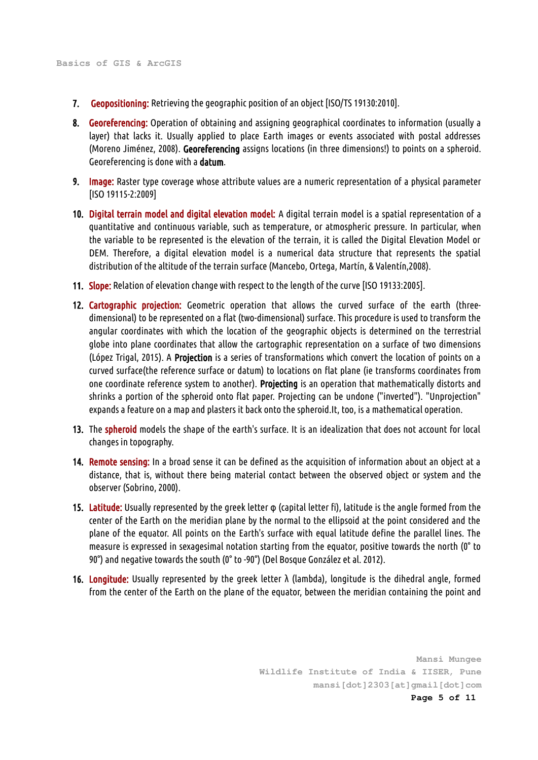- 7. Geopositioning: Retrieving the geographic position of an object [ISO/TS 19130:2010].
- 8. Georeferencing: Operation of obtaining and assigning geographical coordinates to information (usually a layer) that lacks it. Usually applied to place Earth images or events associated with postal addresses (Moreno Jiménez, 2008). Georeferencing assigns locations (in three dimensions!) to points on a spheroid. Georeferencing is done with a datum.
- 9. Image: Raster type coverage whose attribute values are a numeric representation of a physical parameter [ISO 19115-2:2009]
- 10. Digital terrain model and digital elevation model: A digital terrain model is a spatial representation of a quantitative and continuous variable, such as temperature, or atmospheric pressure. In particular, when the variable to be represented is the elevation of the terrain, it is called the Digital Elevation Model or DEM. Therefore, a digital elevation model is a numerical data structure that represents the spatial distribution of the altitude of the terrain surface (Mancebo, Ortega, Martín, & Valentín,2008).
- 11. Slope: Relation of elevation change with respect to the length of the curve [ISO 19133:2005].
- 12. Cartographic projection: Geometric operation that allows the curved surface of the earth (threedimensional) to be represented on a flat (two-dimensional) surface. This procedure is used to transform the angular coordinates with which the location of the geographic objects is determined on the terrestrial globe into plane coordinates that allow the cartographic representation on a surface of two dimensions (López Trigal, 2015). A Projection is a series of transformations which convert the location of points on a curved surface(the reference surface or datum) to locations on flat plane (ie transforms coordinates from one coordinate reference system to another). Projecting is an operation that mathematically distorts and shrinks a portion of the spheroid onto flat paper. Projecting can be undone ("inverted"). "Unprojection" expands a feature on a map and plasters it back onto the spheroid.It, too, is a mathematical operation.
- 13. The spheroid models the shape of the earth's surface. It is an idealization that does not account for local changes in topography.
- 14. Remote sensing: In a broad sense it can be defined as the acquisition of information about an object at a distance, that is, without there being material contact between the observed object or system and the observer (Sobrino, 2000).
- 15. Latitude: Usually represented by the greek letter φ (capital letter fi), latitude is the angle formed from the center of the Earth on the meridian plane by the normal to the ellipsoid at the point considered and the plane of the equator. All points on the Earth's surface with equal latitude define the parallel lines. The measure is expressed in sexagesimal notation starting from the equator, positive towards the north (0° to 90°) and negative towards the south (0° to -90°) (Del Bosque González et al. 2012).
- 16. Longitude: Usually represented by the greek letter λ (lambda), longitude is the dihedral angle, formed from the center of the Earth on the plane of the equator, between the meridian containing the point and

**Mansi Mungee Wildlife Institute of India & IISER, Pune mansi[dot]2303[at]gmail[dot]com Page 5 of 11**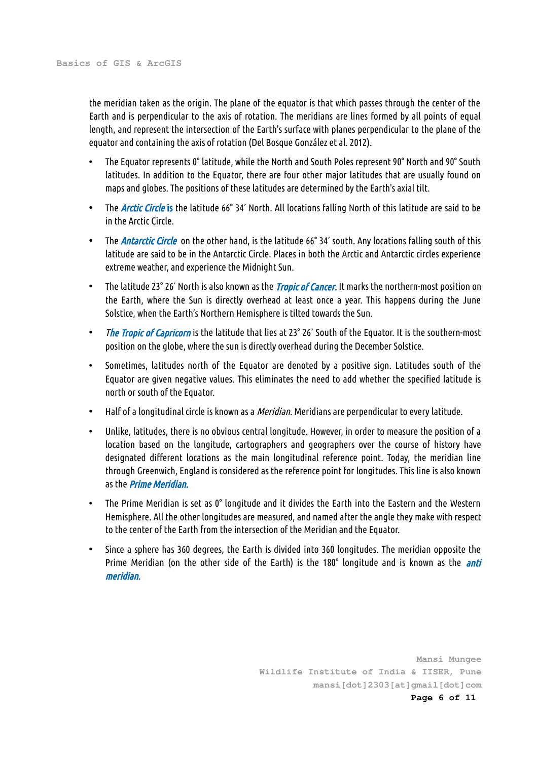the meridian taken as the origin. The plane of the equator is that which passes through the center of the Earth and is perpendicular to the axis of rotation. The meridians are lines formed by all points of equal length, and represent the intersection of the Earth's surface with planes perpendicular to the plane of the equator and containing the axis of rotation (Del Bosque González et al. 2012).

- The Equator represents 0° latitude, while the North and South Poles represent 90° North and 90° South latitudes. In addition to the Equator, there are four other major latitudes that are usually found on maps and globes. The positions of these latitudes are determined by the Earth's axial tilt.
- The *Arctic Circle* is the latitude 66° 34' North. All locations falling North of this latitude are said to be in the Arctic Circle.
- The *Antarctic Circle* on the other hand, is the latitude 66° 34' south. Any locations falling south of this latitude are said to be in the Antarctic Circle. Places in both the Arctic and Antarctic circles experience extreme weather, and experience the Midnight Sun.
- The latitude 23° 26' North is also known as the *Tropic of Cancer*. It marks the northern-most position on the Earth, where the Sun is directly overhead at least once a year. This happens during the June Solstice, when the Earth's Northern Hemisphere is tilted towards the Sun.
- The Tropic of Capricorn is the latitude that lies at 23° 26' South of the Equator. It is the southern-most position on the globe, where the sun is directly overhead during the December Solstice.
- Sometimes, latitudes north of the Equator are denoted by a positive sign. Latitudes south of the Equator are given negative values. This eliminates the need to add whether the specified latitude is north or south of the Equator.
- Half of a longitudinal circle is known as a *Meridian*. Meridians are perpendicular to every latitude.
- Unlike, latitudes, there is no obvious central longitude. However, in order to measure the position of a location based on the longitude, cartographers and geographers over the course of history have designated different locations as the main longitudinal reference point. Today, the meridian line through Greenwich, England is considered as the reference point for longitudes. This line is also known as the *Prime Meridian*.
- The Prime Meridian is set as 0° longitude and it divides the Earth into the Eastern and the Western Hemisphere. All the other longitudes are measured, and named after the angle they make with respect to the center of the Earth from the intersection of the Meridian and the Equator.
- Since a sphere has 360 degrees, the Earth is divided into 360 longitudes. The meridian opposite the Prime Meridian (on the other side of the Earth) is the 180° longitude and is known as the *anti* meridian.

**Mansi Mungee Wildlife Institute of India & IISER, Pune mansi[dot]2303[at]gmail[dot]com Page 6 of 11**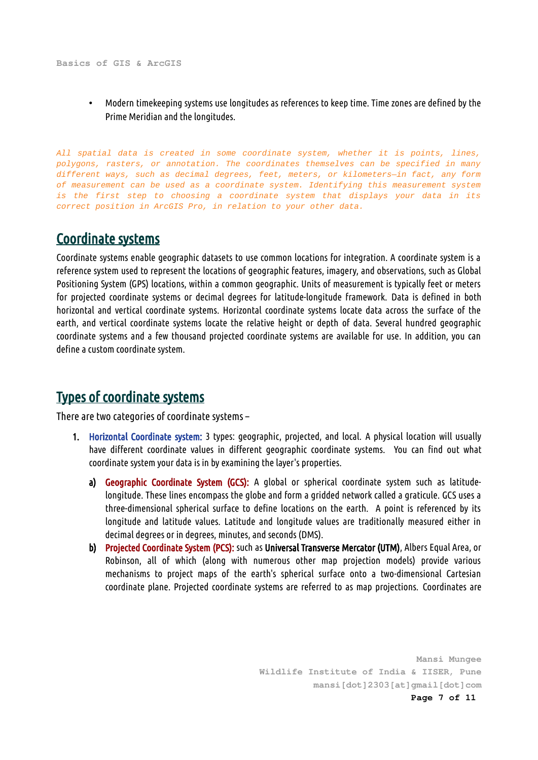**Basics of GIS & ArcGIS**

• Modern timekeeping systems use longitudes as references to keep time. Time zones are defined by the Prime Meridian and the longitudes.

*All spatial data is created in some coordinate system, whether it is points, lines, polygons, rasters, or annotation. The coordinates themselves can be specified in many different ways, such as decimal degrees, feet, meters, or kilometers—in fact, any form of measurement can be used as a coordinate system. Identifying this measurement system is the first step to choosing a coordinate system that displays your data in its correct position in ArcGIS Pro, in relation to your other data.*

## Coordinate systems

Coordinate systems enable geographic datasets to use common locations for integration. A coordinate system is a reference system used to represent the locations of geographic features, imagery, and observations, such as Global Positioning System (GPS) locations, within a common geographic. Units of measurement is typically feet or meters for projected coordinate systems or decimal degrees for latitude-longitude framework. Data is defined in both horizontal and vertical coordinate systems. Horizontal coordinate systems locate data across the surface of the earth, and vertical coordinate systems locate the relative height or depth of data. Several hundred geographic coordinate systems and a few thousand projected coordinate systems are available for use. In addition, you can define a custom coordinate system.

# Types of coordinate systems

There are two categories of coordinate systems –

- 1. Horizontal Coordinate system: 3 types: geographic, projected, and local. A physical location will usually have different coordinate values in different geographic coordinate systems. You can find out what coordinate system your data is in by examining the layer's properties.
	- a) Geographic Coordinate System (GCS): A global or spherical coordinate system such as latitudelongitude. These lines encompass the globe and form a gridded network called a graticule. GCS uses a three-dimensional spherical surface to define locations on the earth. A point is referenced by its longitude and latitude values. Latitude and longitude values are traditionally measured either in decimal degrees or in degrees, minutes, and seconds (DMS).
	- b) Projected Coordinate System (PCS): such as Universal Transverse Mercator (UTM), Albers Equal Area, or Robinson, all of which (along with numerous other map projection models) provide various mechanisms to project maps of the earth's spherical surface onto a two-dimensional Cartesian coordinate plane. Projected coordinate systems are referred to as map projections. Coordinates are

**Mansi Mungee Wildlife Institute of India & IISER, Pune mansi[dot]2303[at]gmail[dot]com Page 7 of 11**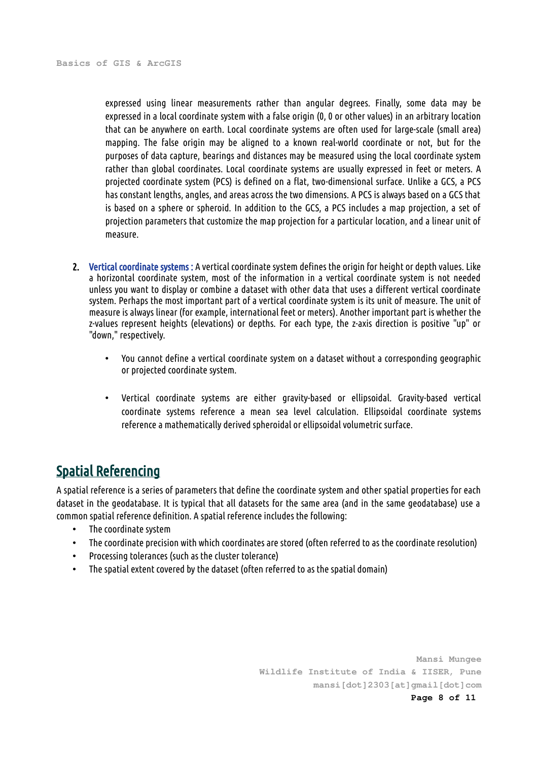expressed using linear measurements rather than angular degrees. Finally, some data may be expressed in a local coordinate system with a false origin (0, 0 or other values) in an arbitrary location that can be anywhere on earth. Local coordinate systems are often used for large-scale (small area) mapping. The false origin may be aligned to a known real-world coordinate or not, but for the purposes of data capture, bearings and distances may be measured using the local coordinate system rather than global coordinates. Local coordinate systems are usually expressed in feet or meters. A projected coordinate system (PCS) is defined on a flat, two-dimensional surface. Unlike a GCS, a PCS has constant lengths, angles, and areas across the two dimensions. A PCS is always based on a GCS that is based on a sphere or spheroid. In addition to the GCS, a PCS includes a map projection, a set of projection parameters that customize the map projection for a particular location, and a linear unit of measure.

- 2. Vertical coordinate systems : A vertical coordinate system defines the origin for height or depth values. Like a horizontal coordinate system, most of the information in a vertical coordinate system is not needed unless you want to display or combine a dataset with other data that uses a different vertical coordinate system. Perhaps the most important part of a vertical coordinate system is its unit of measure. The unit of measure is always linear (for example, international feet or meters). Another important part is whether the z-values represent heights (elevations) or depths. For each type, the z-axis direction is positive "up" or "down," respectively.
	- You cannot define a vertical coordinate system on a dataset without a corresponding geographic or projected coordinate system.
	- Vertical coordinate systems are either gravity-based or ellipsoidal. Gravity-based vertical coordinate systems reference a mean sea level calculation. Ellipsoidal coordinate systems reference a mathematically derived spheroidal or ellipsoidal volumetric surface.

## Spatial Referencing

A spatial reference is a series of parameters that define the coordinate system and other spatial properties for each dataset in the geodatabase. It is typical that all datasets for the same area (and in the same geodatabase) use a common spatial reference definition. A spatial reference includes the following:

- The coordinate system
- The coordinate precision with which coordinates are stored (often referred to as the coordinate resolution)
- Processing tolerances (such as the cluster tolerance)
- The spatial extent covered by the dataset (often referred to as the spatial domain)

**Mansi Mungee Wildlife Institute of India & IISER, Pune mansi[dot]2303[at]gmail[dot]com Page 8 of 11**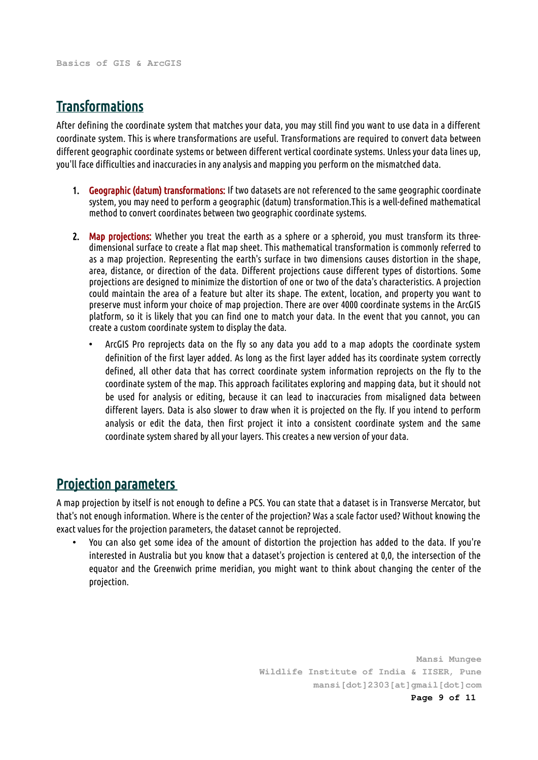## **Transformations**

After defining the coordinate system that matches your data, you may still find you want to use data in a different coordinate system. This is where transformations are useful. Transformations are required to convert data between different geographic coordinate systems or between different vertical coordinate systems. Unless your data lines up, you'll face difficulties and inaccuracies in any analysis and mapping you perform on the mismatched data.

- 1. Geographic (datum) transformations: If two datasets are not referenced to the same geographic coordinate system, you may need to perform a geographic (datum) transformation.This is a well-defined mathematical method to convert coordinates between two geographic coordinate systems.
- 2. Map projections: Whether you treat the earth as a sphere or a spheroid, you must transform its threedimensional surface to create a flat map sheet. This mathematical transformation is commonly referred to as a map projection. Representing the earth's surface in two dimensions causes distortion in the shape, area, distance, or direction of the data. Different projections cause different types of distortions. Some projections are designed to minimize the distortion of one or two of the data's characteristics. A projection could maintain the area of a feature but alter its shape. The extent, location, and property you want to preserve must inform your choice of map projection. There are over 4000 coordinate systems in the ArcGIS platform, so it is likely that you can find one to match your data. In the event that you cannot, you can create a custom coordinate system to display the data.
	- ArcGIS Pro reprojects data on the fly so any data you add to a map adopts the coordinate system definition of the first layer added. As long as the first layer added has its coordinate system correctly defined, all other data that has correct coordinate system information reprojects on the fly to the coordinate system of the map. This approach facilitates exploring and mapping data, but it should not be used for analysis or editing, because it can lead to inaccuracies from misaligned data between different layers. Data is also slower to draw when it is projected on the fly. If you intend to perform analysis or edit the data, then first project it into a consistent coordinate system and the same coordinate system shared by all your layers. This creates a new version of your data.

#### Projection parameters

A map projection by itself is not enough to define a PCS. You can state that a dataset is in Transverse Mercator, but that's not enough information. Where is the center of the projection? Was a scale factor used? Without knowing the exact values for the projection parameters, the dataset cannot be reprojected.

• You can also get some idea of the amount of distortion the projection has added to the data. If you're interested in Australia but you know that a dataset's projection is centered at 0,0, the intersection of the equator and the Greenwich prime meridian, you might want to think about changing the center of the projection.

> **Mansi Mungee Wildlife Institute of India & IISER, Pune mansi[dot]2303[at]gmail[dot]com Page 9 of 11**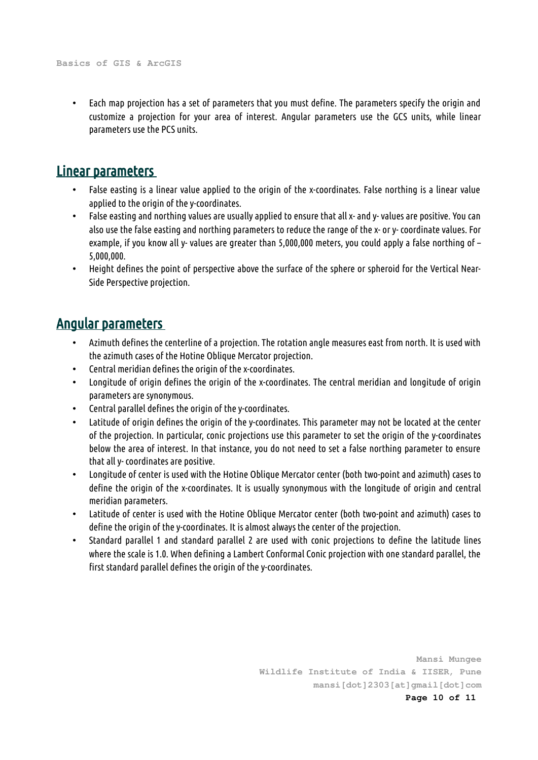• Each map projection has a set of parameters that you must define. The parameters specify the origin and customize a projection for your area of interest. Angular parameters use the GCS units, while linear parameters use the PCS units.

#### Linear parameters

- False easting is a linear value applied to the origin of the x-coordinates. False northing is a linear value applied to the origin of the y-coordinates.
- False easting and northing values are usually applied to ensure that all x- and y- values are positive. You can also use the false easting and northing parameters to reduce the range of the x- or y- coordinate values. For example, if you know all y- values are greater than 5,000,000 meters, you could apply a false northing of – 5,000,000.
- Height defines the point of perspective above the surface of the sphere or spheroid for the Vertical Near-Side Perspective projection.

#### Angular parameters

- Azimuth defines the centerline of a projection. The rotation angle measures east from north. It is used with the azimuth cases of the Hotine Oblique Mercator projection.
- Central meridian defines the origin of the x-coordinates.
- Longitude of origin defines the origin of the x-coordinates. The central meridian and longitude of origin parameters are synonymous.
- Central parallel defines the origin of the y-coordinates.
- Latitude of origin defines the origin of the y-coordinates. This parameter may not be located at the center of the projection. In particular, conic projections use this parameter to set the origin of the y-coordinates below the area of interest. In that instance, you do not need to set a false northing parameter to ensure that all y- coordinates are positive.
- Longitude of center is used with the Hotine Oblique Mercator center (both two-point and azimuth) cases to define the origin of the x-coordinates. It is usually synonymous with the longitude of origin and central meridian parameters.
- Latitude of center is used with the Hotine Oblique Mercator center (both two-point and azimuth) cases to define the origin of the y-coordinates. It is almost always the center of the projection.
- Standard parallel 1 and standard parallel 2 are used with conic projections to define the latitude lines where the scale is 1.0. When defining a Lambert Conformal Conic projection with one standard parallel, the first standard parallel defines the origin of the y-coordinates.

**Mansi Mungee Wildlife Institute of India & IISER, Pune mansi[dot]2303[at]gmail[dot]com Page 10 of 11**